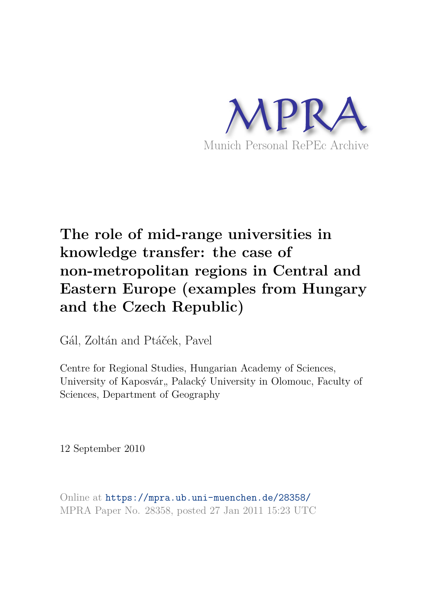

# **The role of mid-range universities in knowledge transfer: the case of non-metropolitan regions in Central and Eastern Europe (examples from Hungary and the Czech Republic)**

Gál, Zoltán and Ptáček, Pavel

Centre for Regional Studies, Hungarian Academy of Sciences, University of Kaposvár, Palacký University in Olomouc, Faculty of Sciences, Department of Geography

12 September 2010

Online at https://mpra.ub.uni-muenchen.de/28358/ MPRA Paper No. 28358, posted 27 Jan 2011 15:23 UTC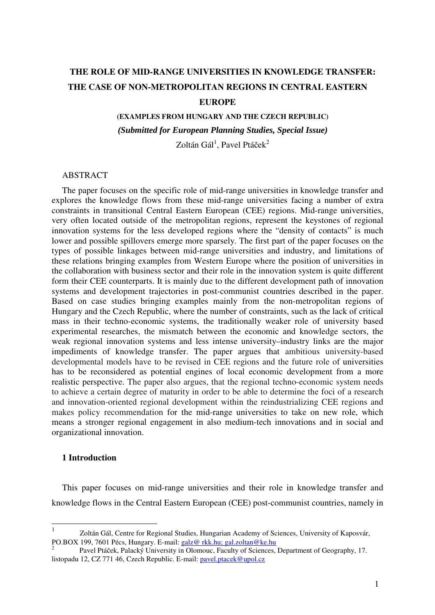# **THE ROLE OF MID-RANGE UNIVERSITIES IN KNOWLEDGE TRANSFER: THE CASE OF NON-METROPOLITAN REGIONS IN CENTRAL EASTERN EUROPE**

**(EXAMPLES FROM HUNGARY AND THE CZECH REPUBLIC)**  *(Submitted for European Planning Studies, Special Issue)* 

Zoltán Gál $^1$ , Pavel Ptáček $^2$ 

# ABSTRACT

The paper focuses on the specific role of mid-range universities in knowledge transfer and explores the knowledge flows from these mid-range universities facing a number of extra constraints in transitional Central Eastern European (CEE) regions. Mid-range universities, very often located outside of the metropolitan regions, represent the keystones of regional innovation systems for the less developed regions where the "density of contacts" is much lower and possible spillovers emerge more sparsely. The first part of the paper focuses on the types of possible linkages between mid-range universities and industry, and limitations of these relations bringing examples from Western Europe where the position of universities in the collaboration with business sector and their role in the innovation system is quite different form their CEE counterparts. It is mainly due to the different development path of innovation systems and development trajectories in post-communist countries described in the paper. Based on case studies bringing examples mainly from the non-metropolitan regions of Hungary and the Czech Republic, where the number of constraints, such as the lack of critical mass in their techno-economic systems, the traditionally weaker role of university based experimental researches, the mismatch between the economic and knowledge sectors, the weak regional innovation systems and less intense university–industry links are the major impediments of knowledge transfer. The paper argues that ambitious university-based developmental models have to be revised in CEE regions and the future role of universities has to be reconsidered as potential engines of local economic development from a more realistic perspective. The paper also argues, that the regional techno-economic system needs to achieve a certain degree of maturity in order to be able to determine the foci of a research and innovation-oriented regional development within the reindustrializing CEE regions and makes policy recommendation for the mid-range universities to take on new role, which means a stronger regional engagement in also medium-tech innovations and in social and organizational innovation.

#### **1 Introduction**

This paper focuses on mid-range universities and their role in knowledge transfer and knowledge flows in the Central Eastern European (CEE) post-communist countries, namely in

 $\frac{1}{1}$  Zoltán Gál, Centre for Regional Studies, Hungarian Academy of Sciences, University of Kaposvár, PO.BOX 199, 7601 Pécs, Hungary. E-mail: galz@ rkk.hu; gal.zoltan@ke.hu

<sup>2</sup> Pavel Ptáček, Palacký University in Olomouc, Faculty of Sciences, Department of Geography, 17. listopadu 12, CZ 771 46, Czech Republic. E-mail: pavel.ptacek@upol.cz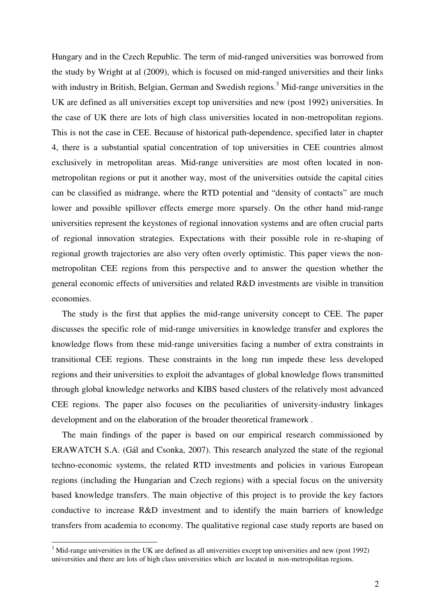Hungary and in the Czech Republic. The term of mid-ranged universities was borrowed from the study by Wright at al (2009), which is focused on mid-ranged universities and their links with industry in British, Belgian, German and Swedish regions.<sup>3</sup> Mid-range universities in the UK are defined as all universities except top universities and new (post 1992) universities. In the case of UK there are lots of high class universities located in non-metropolitan regions. This is not the case in CEE. Because of historical path-dependence, specified later in chapter 4, there is a substantial spatial concentration of top universities in CEE countries almost exclusively in metropolitan areas. Mid-range universities are most often located in nonmetropolitan regions or put it another way, most of the universities outside the capital cities can be classified as midrange, where the RTD potential and "density of contacts" are much lower and possible spillover effects emerge more sparsely. On the other hand mid-range universities represent the keystones of regional innovation systems and are often crucial parts of regional innovation strategies. Expectations with their possible role in re-shaping of regional growth trajectories are also very often overly optimistic. This paper views the nonmetropolitan CEE regions from this perspective and to answer the question whether the general economic effects of universities and related R&D investments are visible in transition economies.

The study is the first that applies the mid-range university concept to CEE. The paper discusses the specific role of mid-range universities in knowledge transfer and explores the knowledge flows from these mid-range universities facing a number of extra constraints in transitional CEE regions. These constraints in the long run impede these less developed regions and their universities to exploit the advantages of global knowledge flows transmitted through global knowledge networks and KIBS based clusters of the relatively most advanced CEE regions. The paper also focuses on the peculiarities of university-industry linkages development and on the elaboration of the broader theoretical framework .

The main findings of the paper is based on our empirical research commissioned by ERAWATCH S.A. (Gál and Csonka, 2007). This research analyzed the state of the regional techno-economic systems, the related RTD investments and policies in various European regions (including the Hungarian and Czech regions) with a special focus on the university based knowledge transfers. The main objective of this project is to provide the key factors conductive to increase R&D investment and to identify the main barriers of knowledge transfers from academia to economy. The qualitative regional case study reports are based on

<sup>&</sup>lt;sup>3</sup> Mid-range universities in the UK are defined as all universities except top universities and new (post 1992) universities and there are lots of high class universities which are located in non-metropolitan regions.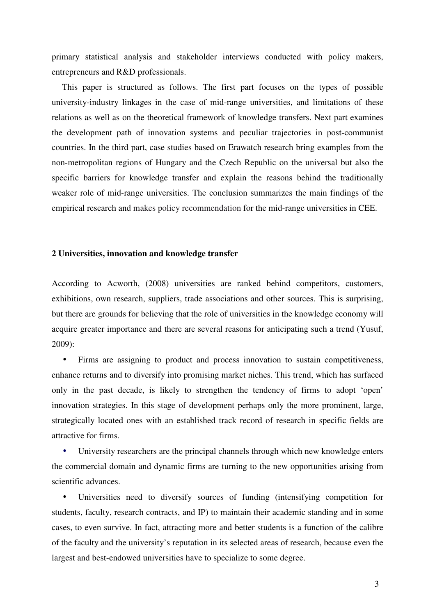primary statistical analysis and stakeholder interviews conducted with policy makers, entrepreneurs and R&D professionals.

This paper is structured as follows. The first part focuses on the types of possible university-industry linkages in the case of mid-range universities, and limitations of these relations as well as on the theoretical framework of knowledge transfers. Next part examines the development path of innovation systems and peculiar trajectories in post-communist countries. In the third part, case studies based on Erawatch research bring examples from the non-metropolitan regions of Hungary and the Czech Republic on the universal but also the specific barriers for knowledge transfer and explain the reasons behind the traditionally weaker role of mid-range universities. The conclusion summarizes the main findings of the empirical research and makes policy recommendation for the mid-range universities in CEE.

#### **2 Universities, innovation and knowledge transfer**

According to Acworth, (2008) universities are ranked behind competitors, customers, exhibitions, own research, suppliers, trade associations and other sources. This is surprising, but there are grounds for believing that the role of universities in the knowledge economy will acquire greater importance and there are several reasons for anticipating such a trend (Yusuf, 2009):

• Firms are assigning to product and process innovation to sustain competitiveness, enhance returns and to diversify into promising market niches. This trend, which has surfaced only in the past decade, is likely to strengthen the tendency of firms to adopt 'open' innovation strategies. In this stage of development perhaps only the more prominent, large, strategically located ones with an established track record of research in specific fields are attractive for firms.

• University researchers are the principal channels through which new knowledge enters the commercial domain and dynamic firms are turning to the new opportunities arising from scientific advances.

Universities need to diversify sources of funding (intensifying competition for students, faculty, research contracts, and IP) to maintain their academic standing and in some cases, to even survive. In fact, attracting more and better students is a function of the calibre of the faculty and the university's reputation in its selected areas of research, because even the largest and best-endowed universities have to specialize to some degree.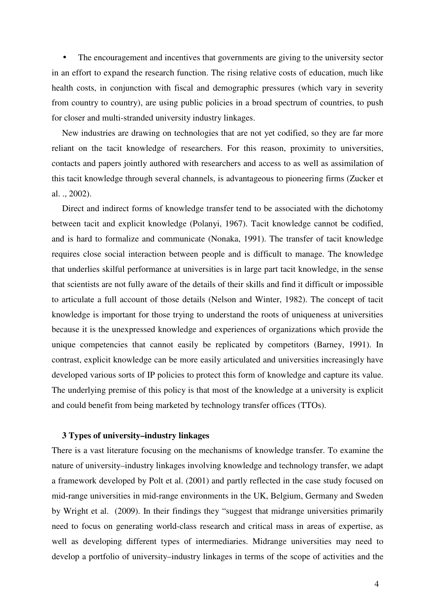• The encouragement and incentives that governments are giving to the university sector in an effort to expand the research function. The rising relative costs of education, much like health costs, in conjunction with fiscal and demographic pressures (which vary in severity from country to country), are using public policies in a broad spectrum of countries, to push for closer and multi-stranded university industry linkages.

New industries are drawing on technologies that are not yet codified, so they are far more reliant on the tacit knowledge of researchers. For this reason, proximity to universities, contacts and papers jointly authored with researchers and access to as well as assimilation of this tacit knowledge through several channels, is advantageous to pioneering firms (Zucker et al. ., 2002).

Direct and indirect forms of knowledge transfer tend to be associated with the dichotomy between tacit and explicit knowledge (Polanyi, 1967). Tacit knowledge cannot be codified, and is hard to formalize and communicate (Nonaka, 1991). The transfer of tacit knowledge requires close social interaction between people and is difficult to manage. The knowledge that underlies skilful performance at universities is in large part tacit knowledge, in the sense that scientists are not fully aware of the details of their skills and find it difficult or impossible to articulate a full account of those details (Nelson and Winter, 1982). The concept of tacit knowledge is important for those trying to understand the roots of uniqueness at universities because it is the unexpressed knowledge and experiences of organizations which provide the unique competencies that cannot easily be replicated by competitors (Barney, 1991). In contrast, explicit knowledge can be more easily articulated and universities increasingly have developed various sorts of IP policies to protect this form of knowledge and capture its value. The underlying premise of this policy is that most of the knowledge at a university is explicit and could benefit from being marketed by technology transfer offices (TTOs).

# **3 Types of university–industry linkages**

There is a vast literature focusing on the mechanisms of knowledge transfer. To examine the nature of university–industry linkages involving knowledge and technology transfer, we adapt a framework developed by Polt et al. (2001) and partly reflected in the case study focused on mid-range universities in mid-range environments in the UK, Belgium, Germany and Sweden by Wright et al. (2009). In their findings they "suggest that midrange universities primarily need to focus on generating world-class research and critical mass in areas of expertise, as well as developing different types of intermediaries. Midrange universities may need to develop a portfolio of university–industry linkages in terms of the scope of activities and the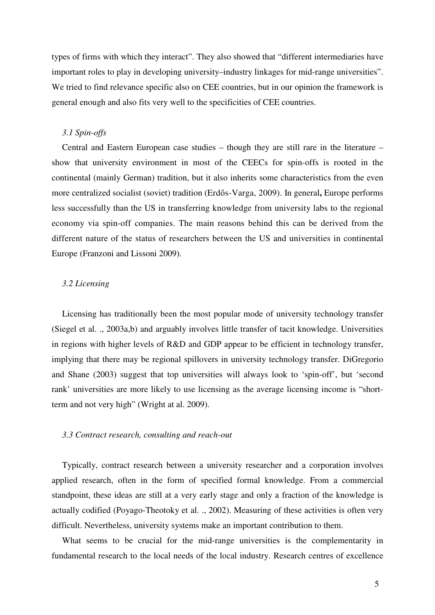types of firms with which they interact". They also showed that "different intermediaries have important roles to play in developing university–industry linkages for mid-range universities". We tried to find relevance specific also on CEE countries, but in our opinion the framework is general enough and also fits very well to the specificities of CEE countries.

#### *3.1 Spin-offs*

Central and Eastern European case studies – though they are still rare in the literature – show that university environment in most of the CEECs for spin-offs is rooted in the continental (mainly German) tradition, but it also inherits some characteristics from the even more centralized socialist (soviet) tradition (Erdős-Varga, 2009). In general**,** Europe performs less successfully than the US in transferring knowledge from university labs to the regional economy via spin-off companies. The main reasons behind this can be derived from the different nature of the status of researchers between the US and universities in continental Europe (Franzoni and Lissoni 2009).

#### *3.2 Licensing*

Licensing has traditionally been the most popular mode of university technology transfer (Siegel et al. ., 2003a,b) and arguably involves little transfer of tacit knowledge. Universities in regions with higher levels of R&D and GDP appear to be efficient in technology transfer, implying that there may be regional spillovers in university technology transfer. DiGregorio and Shane (2003) suggest that top universities will always look to 'spin-off', but 'second rank' universities are more likely to use licensing as the average licensing income is "shortterm and not very high" (Wright at al. 2009).

#### *3.3 Contract research, consulting and reach-out*

Typically, contract research between a university researcher and a corporation involves applied research, often in the form of specified formal knowledge. From a commercial standpoint, these ideas are still at a very early stage and only a fraction of the knowledge is actually codified (Poyago-Theotoky et al. ., 2002). Measuring of these activities is often very difficult. Nevertheless, university systems make an important contribution to them.

What seems to be crucial for the mid-range universities is the complementarity in fundamental research to the local needs of the local industry. Research centres of excellence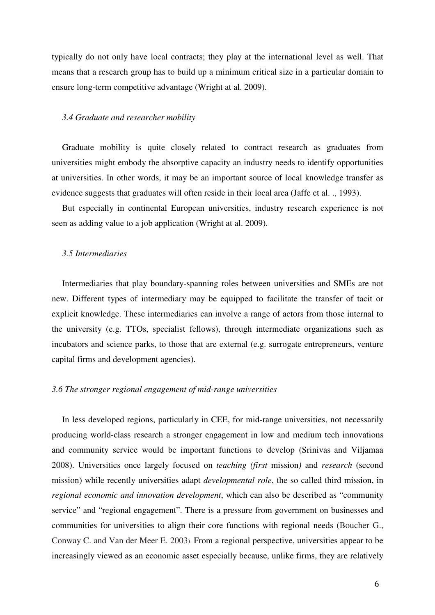typically do not only have local contracts; they play at the international level as well. That means that a research group has to build up a minimum critical size in a particular domain to ensure long-term competitive advantage (Wright at al. 2009).

#### *3.4 Graduate and researcher mobility*

Graduate mobility is quite closely related to contract research as graduates from universities might embody the absorptive capacity an industry needs to identify opportunities at universities. In other words, it may be an important source of local knowledge transfer as evidence suggests that graduates will often reside in their local area (Jaffe et al. ., 1993).

But especially in continental European universities, industry research experience is not seen as adding value to a job application (Wright at al. 2009).

#### *3.5 Intermediaries*

Intermediaries that play boundary-spanning roles between universities and SMEs are not new. Different types of intermediary may be equipped to facilitate the transfer of tacit or explicit knowledge. These intermediaries can involve a range of actors from those internal to the university (e.g. TTOs, specialist fellows), through intermediate organizations such as incubators and science parks, to those that are external (e.g. surrogate entrepreneurs, venture capital firms and development agencies).

#### *3.6 The stronger regional engagement of mid-range universities*

In less developed regions, particularly in CEE, for mid-range universities, not necessarily producing world-class research a stronger engagement in low and medium tech innovations and community service would be important functions to develop (Srinivas and Viljamaa 2008). Universities once largely focused on *teaching (first* mission*)* and *research* (second mission) while recently universities adapt *developmental role*, the so called third mission, in *regional economic and innovation development*, which can also be described as "community service" and "regional engagement". There is a pressure from government on businesses and communities for universities to align their core functions with regional needs (Boucher G., Conway C. and Van der Meer E. 2003). From a regional perspective, universities appear to be increasingly viewed as an economic asset especially because, unlike firms, they are relatively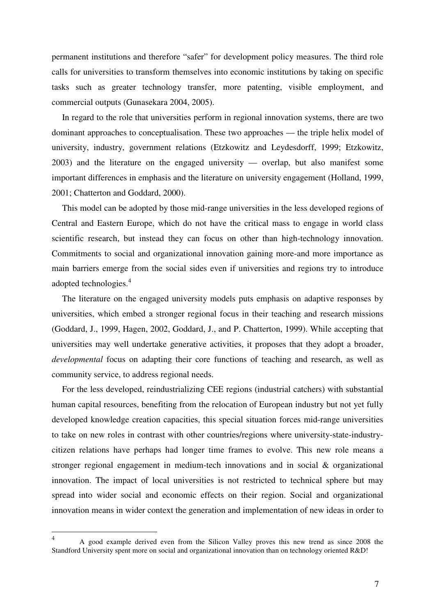permanent institutions and therefore "safer" for development policy measures. The third role calls for universities to transform themselves into economic institutions by taking on specific tasks such as greater technology transfer, more patenting, visible employment, and commercial outputs (Gunasekara 2004, 2005).

In regard to the role that universities perform in regional innovation systems, there are two dominant approaches to conceptualisation. These two approaches — the triple helix model of university, industry, government relations (Etzkowitz and Leydesdorff, 1999; Etzkowitz, 2003) and the literature on the engaged university — overlap, but also manifest some important differences in emphasis and the literature on university engagement (Holland, 1999, 2001; Chatterton and Goddard, 2000).

This model can be adopted by those mid-range universities in the less developed regions of Central and Eastern Europe, which do not have the critical mass to engage in world class scientific research, but instead they can focus on other than high-technology innovation. Commitments to social and organizational innovation gaining more-and more importance as main barriers emerge from the social sides even if universities and regions try to introduce adopted technologies.<sup>4</sup>

The literature on the engaged university models puts emphasis on adaptive responses by universities, which embed a stronger regional focus in their teaching and research missions (Goddard, J., 1999, Hagen, 2002, Goddard, J., and P. Chatterton, 1999). While accepting that universities may well undertake generative activities, it proposes that they adopt a broader, *developmental* focus on adapting their core functions of teaching and research, as well as community service, to address regional needs.

For the less developed, reindustrializing CEE regions (industrial catchers) with substantial human capital resources, benefiting from the relocation of European industry but not yet fully developed knowledge creation capacities, this special situation forces mid-range universities to take on new roles in contrast with other countries/regions where university-state-industrycitizen relations have perhaps had longer time frames to evolve. This new role means a stronger regional engagement in medium-tech innovations and in social & organizational innovation. The impact of local universities is not restricted to technical sphere but may spread into wider social and economic effects on their region. Social and organizational innovation means in wider context the generation and implementation of new ideas in order to

<sup>4</sup> A good example derived even from the Silicon Valley proves this new trend as since 2008 the Standford University spent more on social and organizational innovation than on technology oriented R&D!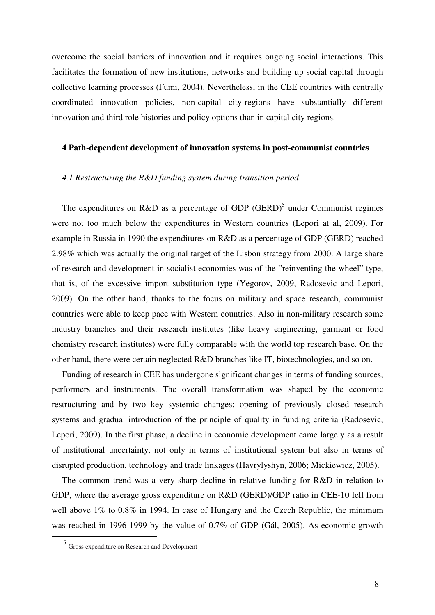overcome the social barriers of innovation and it requires ongoing social interactions. This facilitates the formation of new institutions, networks and building up social capital through collective learning processes (Fumi, 2004). Nevertheless, in the CEE countries with centrally coordinated innovation policies, non-capital city-regions have substantially different innovation and third role histories and policy options than in capital city regions.

## **4 Path-dependent development of innovation systems in post-communist countries**

#### *4.1 Restructuring the R&D funding system during transition period*

The expenditures on R&D as a percentage of GDP (GERD)<sup>5</sup> under Communist regimes were not too much below the expenditures in Western countries (Lepori at al, 2009). For example in Russia in 1990 the expenditures on R&D as a percentage of GDP (GERD) reached 2.98% which was actually the original target of the Lisbon strategy from 2000. A large share of research and development in socialist economies was of the "reinventing the wheel" type, that is, of the excessive import substitution type (Yegorov, 2009, Radosevic and Lepori, 2009). On the other hand, thanks to the focus on military and space research, communist countries were able to keep pace with Western countries. Also in non-military research some industry branches and their research institutes (like heavy engineering, garment or food chemistry research institutes) were fully comparable with the world top research base. On the other hand, there were certain neglected R&D branches like IT, biotechnologies, and so on.

Funding of research in CEE has undergone significant changes in terms of funding sources, performers and instruments. The overall transformation was shaped by the economic restructuring and by two key systemic changes: opening of previously closed research systems and gradual introduction of the principle of quality in funding criteria (Radosevic, Lepori, 2009). In the first phase, a decline in economic development came largely as a result of institutional uncertainty, not only in terms of institutional system but also in terms of disrupted production, technology and trade linkages (Havrylyshyn, 2006; Mickiewicz, 2005).

The common trend was a very sharp decline in relative funding for R&D in relation to GDP, where the average gross expenditure on R&D (GERD)/GDP ratio in CEE-10 fell from well above  $1\%$  to  $0.8\%$  in 1994. In case of Hungary and the Czech Republic, the minimum was reached in 1996-1999 by the value of 0.7% of GDP (Gál, 2005). As economic growth

<sup>5</sup> Gross expenditure on Research and Development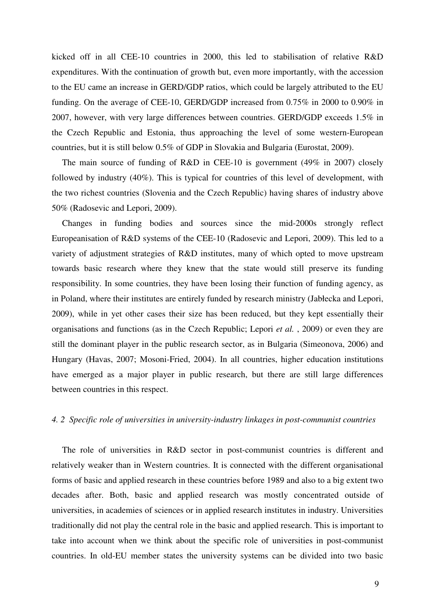kicked off in all CEE-10 countries in 2000, this led to stabilisation of relative R&D expenditures. With the continuation of growth but, even more importantly, with the accession to the EU came an increase in GERD/GDP ratios, which could be largely attributed to the EU funding. On the average of CEE-10, GERD/GDP increased from 0.75% in 2000 to 0.90% in 2007, however, with very large differences between countries. GERD/GDP exceeds 1.5% in the Czech Republic and Estonia, thus approaching the level of some western-European countries, but it is still below 0.5% of GDP in Slovakia and Bulgaria (Eurostat, 2009).

The main source of funding of R&D in CEE-10 is government (49% in 2007) closely followed by industry (40%). This is typical for countries of this level of development, with the two richest countries (Slovenia and the Czech Republic) having shares of industry above 50% (Radosevic and Lepori, 2009).

Changes in funding bodies and sources since the mid-2000s strongly reflect Europeanisation of R&D systems of the CEE-10 (Radosevic and Lepori, 2009). This led to a variety of adjustment strategies of R&D institutes, many of which opted to move upstream towards basic research where they knew that the state would still preserve its funding responsibility. In some countries, they have been losing their function of funding agency, as in Poland, where their institutes are entirely funded by research ministry (Jabłecka and Lepori, 2009), while in yet other cases their size has been reduced, but they kept essentially their organisations and functions (as in the Czech Republic; Lepori *et al.* , 2009) or even they are still the dominant player in the public research sector, as in Bulgaria (Simeonova, 2006) and Hungary (Havas, 2007; Mosoni-Fried, 2004). In all countries, higher education institutions have emerged as a major player in public research, but there are still large differences between countries in this respect.

#### *4. 2 Specific role of universities in university-industry linkages in post-communist countries*

The role of universities in R&D sector in post-communist countries is different and relatively weaker than in Western countries. It is connected with the different organisational forms of basic and applied research in these countries before 1989 and also to a big extent two decades after. Both, basic and applied research was mostly concentrated outside of universities, in academies of sciences or in applied research institutes in industry. Universities traditionally did not play the central role in the basic and applied research. This is important to take into account when we think about the specific role of universities in post-communist countries. In old-EU member states the university systems can be divided into two basic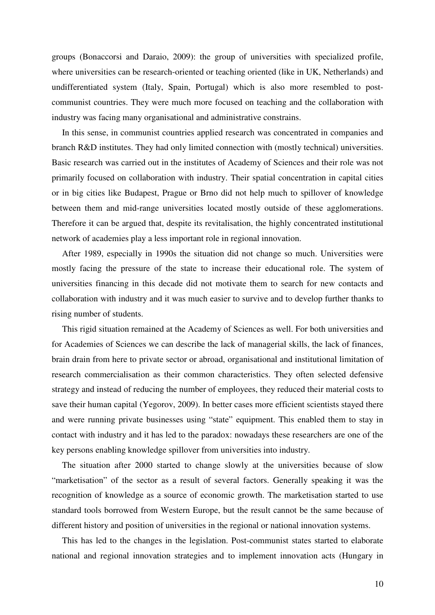groups (Bonaccorsi and Daraio, 2009): the group of universities with specialized profile, where universities can be research-oriented or teaching oriented (like in UK, Netherlands) and undifferentiated system (Italy, Spain, Portugal) which is also more resembled to postcommunist countries. They were much more focused on teaching and the collaboration with industry was facing many organisational and administrative constrains.

In this sense, in communist countries applied research was concentrated in companies and branch R&D institutes. They had only limited connection with (mostly technical) universities. Basic research was carried out in the institutes of Academy of Sciences and their role was not primarily focused on collaboration with industry. Their spatial concentration in capital cities or in big cities like Budapest, Prague or Brno did not help much to spillover of knowledge between them and mid-range universities located mostly outside of these agglomerations. Therefore it can be argued that, despite its revitalisation, the highly concentrated institutional network of academies play a less important role in regional innovation.

After 1989, especially in 1990s the situation did not change so much. Universities were mostly facing the pressure of the state to increase their educational role. The system of universities financing in this decade did not motivate them to search for new contacts and collaboration with industry and it was much easier to survive and to develop further thanks to rising number of students.

This rigid situation remained at the Academy of Sciences as well. For both universities and for Academies of Sciences we can describe the lack of managerial skills, the lack of finances, brain drain from here to private sector or abroad, organisational and institutional limitation of research commercialisation as their common characteristics. They often selected defensive strategy and instead of reducing the number of employees, they reduced their material costs to save their human capital (Yegorov, 2009). In better cases more efficient scientists stayed there and were running private businesses using "state" equipment. This enabled them to stay in contact with industry and it has led to the paradox: nowadays these researchers are one of the key persons enabling knowledge spillover from universities into industry.

The situation after 2000 started to change slowly at the universities because of slow "marketisation" of the sector as a result of several factors. Generally speaking it was the recognition of knowledge as a source of economic growth. The marketisation started to use standard tools borrowed from Western Europe, but the result cannot be the same because of different history and position of universities in the regional or national innovation systems.

This has led to the changes in the legislation. Post-communist states started to elaborate national and regional innovation strategies and to implement innovation acts (Hungary in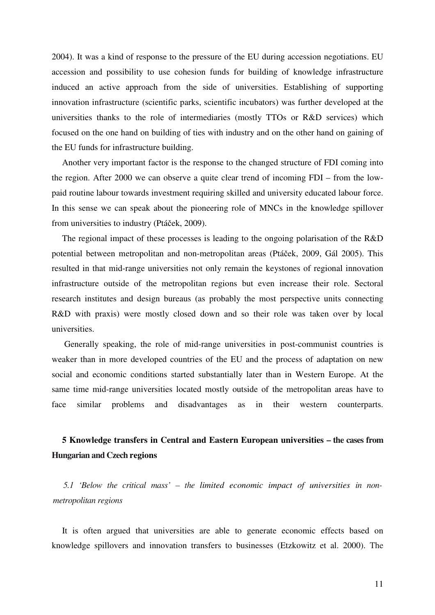2004). It was a kind of response to the pressure of the EU during accession negotiations. EU accession and possibility to use cohesion funds for building of knowledge infrastructure induced an active approach from the side of universities. Establishing of supporting innovation infrastructure (scientific parks, scientific incubators) was further developed at the universities thanks to the role of intermediaries (mostly TTOs or R&D services) which focused on the one hand on building of ties with industry and on the other hand on gaining of the EU funds for infrastructure building.

Another very important factor is the response to the changed structure of FDI coming into the region. After 2000 we can observe a quite clear trend of incoming FDI – from the lowpaid routine labour towards investment requiring skilled and university educated labour force. In this sense we can speak about the pioneering role of MNCs in the knowledge spillover from universities to industry (Ptáček, 2009).

The regional impact of these processes is leading to the ongoing polarisation of the R&D potential between metropolitan and non-metropolitan areas (Ptáček, 2009, Gál 2005). This resulted in that mid-range universities not only remain the keystones of regional innovation infrastructure outside of the metropolitan regions but even increase their role. Sectoral research institutes and design bureaus (as probably the most perspective units connecting R&D with praxis) were mostly closed down and so their role was taken over by local universities.

 Generally speaking, the role of mid-range universities in post-communist countries is weaker than in more developed countries of the EU and the process of adaptation on new social and economic conditions started substantially later than in Western Europe. At the same time mid-range universities located mostly outside of the metropolitan areas have to face similar problems and disadvantages as in their western counterparts.

# **5 Knowledge transfers in Central and Eastern European universities – the cases from Hungarian and Czech regions**

*5.1 'Below the critical mass' – the limited economic impact of universities in nonmetropolitan regions* 

It is often argued that universities are able to generate economic effects based on knowledge spillovers and innovation transfers to businesses (Etzkowitz et al. 2000). The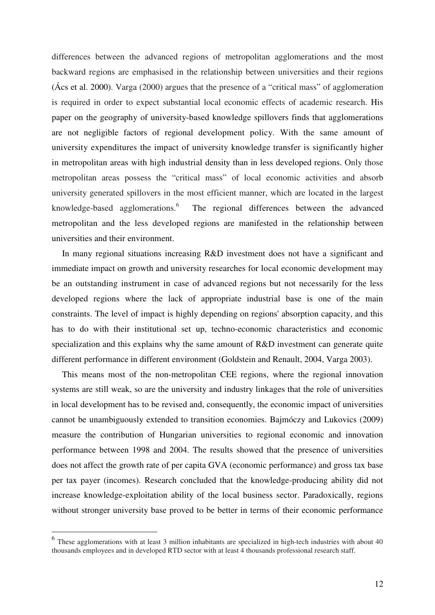differences between the advanced regions of metropolitan agglomerations and the most backward regions are emphasised in the relationship between universities and their regions (Ács et al. 2000). Varga (2000) argues that the presence of a "critical mass" of agglomeration is required in order to expect substantial local economic effects of academic research. His paper on the geography of university-based knowledge spillovers finds that agglomerations are not negligible factors of regional development policy. With the same amount of university expenditures the impact of university knowledge transfer is significantly higher in metropolitan areas with high industrial density than in less developed regions. Only those metropolitan areas possess the "critical mass" of local economic activities and absorb university generated spillovers in the most efficient manner, which are located in the largest knowledge-based agglomerations.<sup>6</sup> The regional differences between the advanced metropolitan and the less developed regions are manifested in the relationship between universities and their environment.

In many regional situations increasing R&D investment does not have a significant and immediate impact on growth and university researches for local economic development may be an outstanding instrument in case of advanced regions but not necessarily for the less developed regions where the lack of appropriate industrial base is one of the main constraints. The level of impact is highly depending on regions' absorption capacity, and this has to do with their institutional set up, techno-economic characteristics and economic specialization and this explains why the same amount of R&D investment can generate quite different performance in different environment (Goldstein and Renault, 2004, Varga 2003).

This means most of the non-metropolitan CEE regions, where the regional innovation systems are still weak, so are the university and industry linkages that the role of universities in local development has to be revised and, consequently, the economic impact of universities cannot be unambiguously extended to transition economies. Bajmóczy and Lukovics (2009) measure the contribution of Hungarian universities to regional economic and innovation performance between 1998 and 2004. The results showed that the presence of universities does not affect the growth rate of per capita GVA (economic performance) and gross tax base per tax payer (incomes). Research concluded that the knowledge-producing ability did not increase knowledge-exploitation ability of the local business sector. Paradoxically, regions without stronger university base proved to be better in terms of their economic performance

<sup>&</sup>lt;sup>6</sup> These agglomerations with at least 3 million inhabitants are specialized in high-tech industries with about 40 thousands employees and in developed RTD sector with at least 4 thousands professional research staff.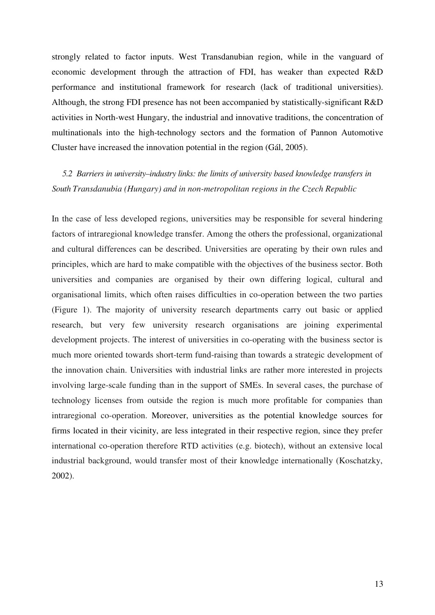strongly related to factor inputs. West Transdanubian region, while in the vanguard of economic development through the attraction of FDI, has weaker than expected R&D performance and institutional framework for research (lack of traditional universities). Although, the strong FDI presence has not been accompanied by statistically-significant R&D activities in North-west Hungary, the industrial and innovative traditions, the concentration of multinationals into the high-technology sectors and the formation of Pannon Automotive Cluster have increased the innovation potential in the region (Gál, 2005).

*5.2 Barriers in university–industry links: the limits of university based knowledge transfers in South Transdanubia (Hungary) and in non-metropolitan regions in the Czech Republic* 

In the case of less developed regions, universities may be responsible for several hindering factors of intraregional knowledge transfer. Among the others the professional, organizational and cultural differences can be described. Universities are operating by their own rules and principles, which are hard to make compatible with the objectives of the business sector. Both universities and companies are organised by their own differing logical, cultural and organisational limits, which often raises difficulties in co-operation between the two parties (Figure 1). The majority of university research departments carry out basic or applied research, but very few university research organisations are joining experimental development projects. The interest of universities in co-operating with the business sector is much more oriented towards short-term fund-raising than towards a strategic development of the innovation chain. Universities with industrial links are rather more interested in projects involving large-scale funding than in the support of SMEs. In several cases, the purchase of technology licenses from outside the region is much more profitable for companies than intraregional co-operation. Moreover, universities as the potential knowledge sources for firms located in their vicinity, are less integrated in their respective region, since they prefer international co-operation therefore RTD activities (e.g. biotech), without an extensive local industrial background, would transfer most of their knowledge internationally (Koschatzky, 2002).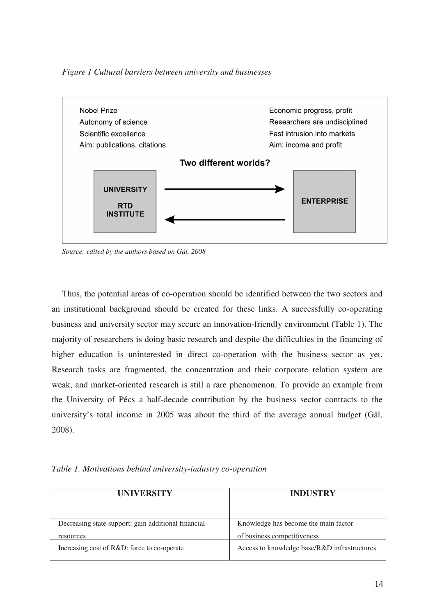*Figure 1 Cultural barriers between university and businesses* 



*Source: edited by the authors based on Gál, 2008* 

Thus, the potential areas of co-operation should be identified between the two sectors and an institutional background should be created for these links. A successfully co-operating business and university sector may secure an innovation-friendly environment (Table 1). The majority of researchers is doing basic research and despite the difficulties in the financing of higher education is uninterested in direct co-operation with the business sector as yet. Research tasks are fragmented, the concentration and their corporate relation system are weak, and market-oriented research is still a rare phenomenon. To provide an example from the University of Pécs a half-decade contribution by the business sector contracts to the university's total income in 2005 was about the third of the average annual budget (Gál, 2008).

*Table 1. Motivations behind university-industry co-operation* 

| <b>UNIVERSITY</b>                                   | <b>INDUSTRY</b>                              |
|-----------------------------------------------------|----------------------------------------------|
| Decreasing state support: gain additional financial | Knowledge has become the main factor         |
| resources                                           | of business competitiveness                  |
| Increasing cost of R&D: force to co-operate         | Access to knowledge base/R&D infrastructures |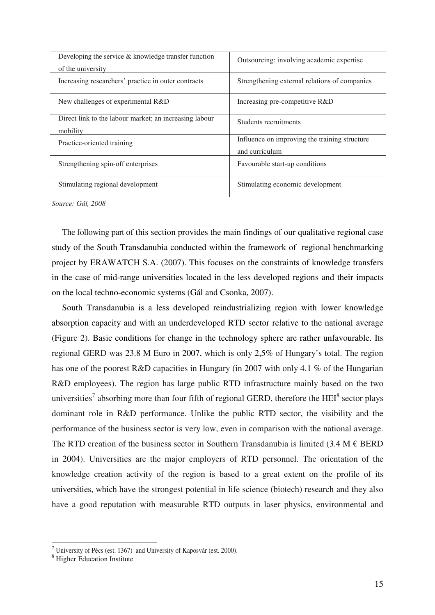| Developing the service $\&$ knowledge transfer function<br>of the university | Outsourcing: involving academic expertise                       |
|------------------------------------------------------------------------------|-----------------------------------------------------------------|
| Increasing researchers' practice in outer contracts                          | Strengthening external relations of companies                   |
| New challenges of experimental R&D                                           | Increasing pre-competitive R&D                                  |
| Direct link to the labour market; an increasing labour<br>mobility           | Students recruitments                                           |
| Practice-oriented training                                                   | Influence on improving the training structure<br>and curriculum |
| Strengthening spin-off enterprises                                           | Favourable start-up conditions                                  |
| Stimulating regional development                                             | Stimulating economic development                                |

*Source: Gál, 2008* 

The following part of this section provides the main findings of our qualitative regional case study of the South Transdanubia conducted within the framework of regional benchmarking project by ERAWATCH S.A. (2007). This focuses on the constraints of knowledge transfers in the case of mid-range universities located in the less developed regions and their impacts on the local techno-economic systems (Gál and Csonka, 2007).

South Transdanubia is a less developed reindustrializing region with lower knowledge absorption capacity and with an underdeveloped RTD sector relative to the national average (Figure 2). Basic conditions for change in the technology sphere are rather unfavourable. Its regional GERD was 23.8 M Euro in 2007, which is only 2,5% of Hungary's total. The region has one of the poorest R&D capacities in Hungary (in 2007 with only 4.1 % of the Hungarian R&D employees). The region has large public RTD infrastructure mainly based on the two universities<sup>7</sup> absorbing more than four fifth of regional GERD, therefore the HEI<sup>8</sup> sector plays dominant role in R&D performance. Unlike the public RTD sector, the visibility and the performance of the business sector is very low, even in comparison with the national average. The RTD creation of the business sector in Southern Transdanubia is limited (3.4 M  $\epsilon$  BERD in 2004). Universities are the major employers of RTD personnel. The orientation of the knowledge creation activity of the region is based to a great extent on the profile of its universities, which have the strongest potential in life science (biotech) research and they also have a good reputation with measurable RTD outputs in laser physics, environmental and

<sup>&</sup>lt;sup>7</sup> University of Pécs (est. 1367) and University of Kaposvár (est. 2000).

<sup>8</sup> Higher Education Institute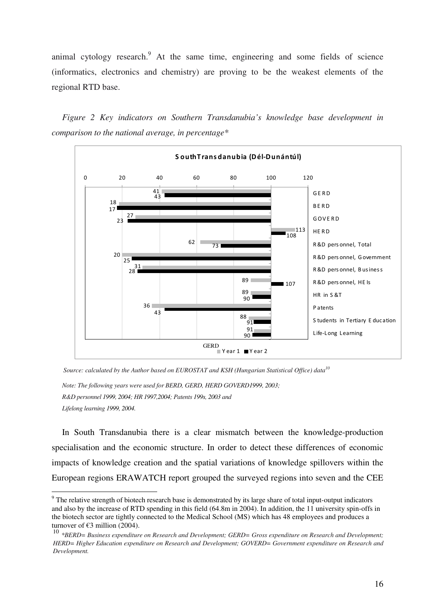animal cytology research.<sup>9</sup> At the same time, engineering and some fields of science (informatics, electronics and chemistry) are proving to be the weakest elements of the regional RTD base.

*Figure 2 Key indicators on Southern Transdanubia's knowledge base development in comparison to the national average, in percentage\** 



*Source: calculated by the Author based on EUROSTAT and KSH (Hungarian Statistical Office) data<sup>10</sup>*

*Note: The following years were used for BERD, GERD, HERD GOVERD1999, 2003; R&D personnel 1999, 2004; HR 1997,2004; Patents 199s, 2003 and Lifelong learning 1999, 2004.* 

In South Transdanubia there is a clear mismatch between the knowledge-production specialisation and the economic structure. In order to detect these differences of economic impacts of knowledge creation and the spatial variations of knowledge spillovers within the European regions ERAWATCH report grouped the surveyed regions into seven and the CEE

<sup>&</sup>lt;sup>9</sup> The relative strength of biotech research base is demonstrated by its large share of total input-output indicators and also by the increase of RTD spending in this field (64.8m in 2004). In addition, the 11 university spin-offs in the biotech sector are tightly connected to the Medical School (MS) which has 48 employees and produces a turnover of  $\epsilon$ 3 million (2004).

<sup>10</sup> *\*BERD= Business expenditure on Research and Development; GERD= Gross expenditure on Research and Development; HERD= Higher Education expenditure on Research and Development; GOVERD= Government expenditure on Research and Development.*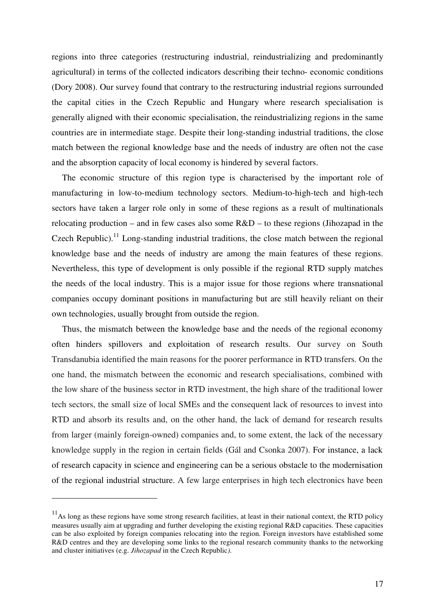regions into three categories (restructuring industrial, reindustrializing and predominantly agricultural) in terms of the collected indicators describing their techno- economic conditions (Dory 2008). Our survey found that contrary to the restructuring industrial regions surrounded the capital cities in the Czech Republic and Hungary where research specialisation is generally aligned with their economic specialisation, the reindustrializing regions in the same countries are in intermediate stage. Despite their long-standing industrial traditions, the close match between the regional knowledge base and the needs of industry are often not the case and the absorption capacity of local economy is hindered by several factors.

The economic structure of this region type is characterised by the important role of manufacturing in low-to-medium technology sectors. Medium-to-high-tech and high-tech sectors have taken a larger role only in some of these regions as a result of multinationals relocating production – and in few cases also some R&D – to these regions (Jihozapad in the Czech Republic).<sup>11</sup> Long-standing industrial traditions, the close match between the regional knowledge base and the needs of industry are among the main features of these regions. Nevertheless, this type of development is only possible if the regional RTD supply matches the needs of the local industry. This is a major issue for those regions where transnational companies occupy dominant positions in manufacturing but are still heavily reliant on their own technologies, usually brought from outside the region.

Thus, the mismatch between the knowledge base and the needs of the regional economy often hinders spillovers and exploitation of research results. Our survey on South Transdanubia identified the main reasons for the poorer performance in RTD transfers. On the one hand, the mismatch between the economic and research specialisations, combined with the low share of the business sector in RTD investment, the high share of the traditional lower tech sectors, the small size of local SMEs and the consequent lack of resources to invest into RTD and absorb its results and, on the other hand, the lack of demand for research results from larger (mainly foreign-owned) companies and, to some extent, the lack of the necessary knowledge supply in the region in certain fields (Gál and Csonka 2007). For instance, a lack of research capacity in science and engineering can be a serious obstacle to the modernisation of the regional industrial structure. A few large enterprises in high tech electronics have been

 $11<sup>11</sup>$ As long as these regions have some strong research facilities, at least in their national context, the RTD policy measures usually aim at upgrading and further developing the existing regional R&D capacities. These capacities can be also exploited by foreign companies relocating into the region. Foreign investors have established some R&D centres and they are developing some links to the regional research community thanks to the networking and cluster initiatives (e.g. *Jihozapad* in the Czech Republic*)*.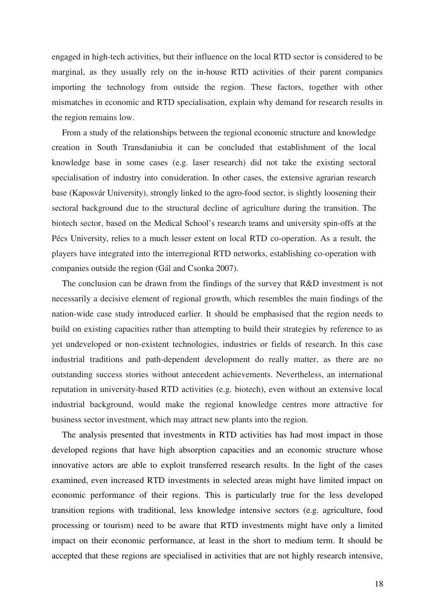engaged in high-tech activities, but their influence on the local RTD sector is considered to be marginal, as they usually rely on the in-house RTD activities of their parent companies importing the technology from outside the region. These factors, together with other mismatches in economic and RTD specialisation, explain why demand for research results in the region remains low.

From a study of the relationships between the regional economic structure and knowledge creation in South Transdaniubia it can be concluded that establishment of the local knowledge base in some cases (e.g. laser research) did not take the existing sectoral specialisation of industry into consideration. In other cases, the extensive agrarian research base (Kaposvár University), strongly linked to the agro-food sector, is slightly loosening their sectoral background due to the structural decline of agriculture during the transition. The biotech sector, based on the Medical School's research teams and university spin-offs at the Pécs University, relies to a much lesser extent on local RTD co-operation. As a result, the players have integrated into the interregional RTD networks, establishing co-operation with companies outside the region (Gál and Csonka 2007).

The conclusion can be drawn from the findings of the survey that R&D investment is not necessarily a decisive element of regional growth, which resembles the main findings of the nation-wide case study introduced earlier. It should be emphasised that the region needs to build on existing capacities rather than attempting to build their strategies by reference to as yet undeveloped or non-existent technologies, industries or fields of research. In this case industrial traditions and path-dependent development do really matter, as there are no outstanding success stories without antecedent achievements. Nevertheless, an international reputation in university-based RTD activities (e.g. biotech), even without an extensive local industrial background, would make the regional knowledge centres more attractive for business sector investment, which may attract new plants into the region.

The analysis presented that investments in RTD activities has had most impact in those developed regions that have high absorption capacities and an economic structure whose innovative actors are able to exploit transferred research results. In the light of the cases examined, even increased RTD investments in selected areas might have limited impact on economic performance of their regions. This is particularly true for the less developed transition regions with traditional, less knowledge intensive sectors (e.g. agriculture, food processing or tourism) need to be aware that RTD investments might have only a limited impact on their economic performance, at least in the short to medium term. It should be accepted that these regions are specialised in activities that are not highly research intensive,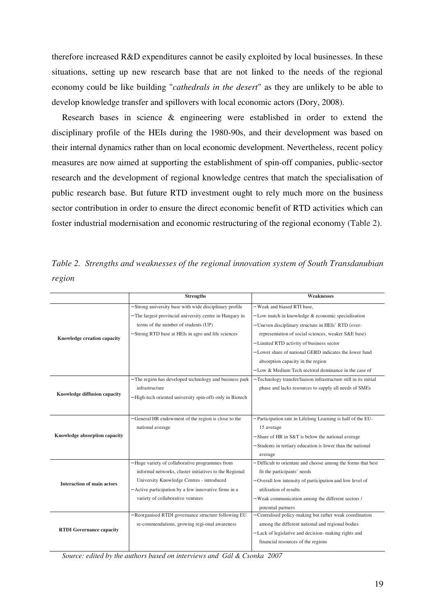therefore increased R&D expenditures cannot be easily exploited by local businesses. In these situations, setting up new research base that are not linked to the needs of the regional economy could be like building "*cathedrals in the desert*" as they are unlikely to be able to develop knowledge transfer and spillovers with local economic actors (Dory, 2008).

Research bases in science & engineering were established in order to extend the disciplinary profile of the HEIs during the 1980-90s, and their development was based on their internal dynamics rather than on local economic development. Nevertheless, recent policy measures are now aimed at supporting the establishment of spin-off companies, public-sector research and the development of regional knowledge centres that match the specialisation of public research base. But future RTD investment ought to rely much more on the business sector contribution in order to ensure the direct economic benefit of RTD activities which can foster industrial modernisation and economic restructuring of the regional economy (Table 2).

*Table 2. Strengths and weaknesses of the regional innovation system of South Transdanubian region* 

|                                   | <b>Strengths</b>                                          | <b>Weaknesses</b>                                                 |
|-----------------------------------|-----------------------------------------------------------|-------------------------------------------------------------------|
|                                   |                                                           |                                                                   |
| Knowledge creation capacity       | - Strong university base with wide disciplinary profile   | - Weak and biased RTI base,                                       |
|                                   | - The largest provincial university centre in Hungary in  | $-$ Low match in knowledge $\&$ economic specialisation           |
|                                   | terms of the number of students (UP)                      | - Uneven disciplinary structure in HEIs' RTD (over-               |
|                                   | - Strong RTD base at HEIs in agro and life sciences       | representation of social sciences, weaker S&E base)               |
|                                   |                                                           | - Limited RTD activity of business sector                         |
|                                   |                                                           | - Lower share of national GERD indicates the lower fund           |
|                                   |                                                           | absorption capacity in the region                                 |
|                                   |                                                           | $-$ Low & Medium Tech sectoral dominance in the case of           |
|                                   | - The region has developed technology and business park   | - Technology transfer/liaison infrastructure still in its initial |
| Knowledge diffusion capacity      | infrastructure                                            | phase and lacks resources to supply all needs of SMEs             |
|                                   | - High-tech oriented university spin-offs only in Biotech |                                                                   |
|                                   |                                                           |                                                                   |
|                                   | General HR endowment of the region is close to the        | Participation rate in Lifelong Learning is half of the EU-        |
| Knowledge absorption capacity     | national average                                          | 15 average                                                        |
|                                   |                                                           | - Share of HR in S&T is below the national average                |
|                                   |                                                           | - Students in tertiary education is lower than the national       |
|                                   |                                                           | average                                                           |
|                                   | - Huge variety of collaborative programmes from           | - Difficult to orientate and choose among the forms that best     |
| <b>Interaction of main actors</b> | informal networks, cluster initiatives to the Regional    | fit the participants' needs                                       |
|                                   | University Knowledge Centres - introduced                 | Overall low intensity of participation and low level of           |
|                                   | - Active participation by a few innovative firms in a     | utilisation of results                                            |
|                                   | variety of collaborative ventures                         | - Weak communication among the different sectors /                |
|                                   |                                                           | potential partners                                                |
|                                   | Reorganised RTDI governance structure following EU        | Centralised policy-making but rather weak coordination            |
| <b>RTDI</b> Governance capacity   | re-commendations, growing regi-onal awareness             | among the different national and regional bodies                  |
|                                   |                                                           | - Lack of legislative and decision- making rights and             |
|                                   |                                                           | financial resources of the regions                                |
|                                   |                                                           |                                                                   |

*Source: edited by the authors based on interviews and Gál & Csonka 2007*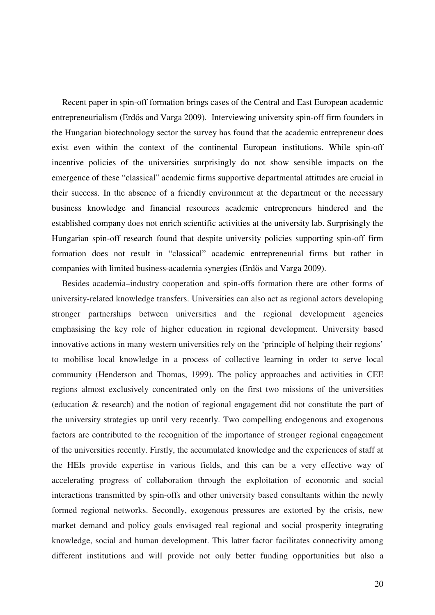Recent paper in spin-off formation brings cases of the Central and East European academic entrepreneurialism (Erdős and Varga 2009). Interviewing university spin-off firm founders in the Hungarian biotechnology sector the survey has found that the academic entrepreneur does exist even within the context of the continental European institutions. While spin-off incentive policies of the universities surprisingly do not show sensible impacts on the emergence of these "classical" academic firms supportive departmental attitudes are crucial in their success. In the absence of a friendly environment at the department or the necessary business knowledge and financial resources academic entrepreneurs hindered and the established company does not enrich scientific activities at the university lab. Surprisingly the Hungarian spin-off research found that despite university policies supporting spin-off firm formation does not result in "classical" academic entrepreneurial firms but rather in companies with limited business-academia synergies (Erdős and Varga 2009).

Besides academia–industry cooperation and spin-offs formation there are other forms of university-related knowledge transfers. Universities can also act as regional actors developing stronger partnerships between universities and the regional development agencies emphasising the key role of higher education in regional development. University based innovative actions in many western universities rely on the 'principle of helping their regions' to mobilise local knowledge in a process of collective learning in order to serve local community (Henderson and Thomas, 1999). The policy approaches and activities in CEE regions almost exclusively concentrated only on the first two missions of the universities (education & research) and the notion of regional engagement did not constitute the part of the university strategies up until very recently. Two compelling endogenous and exogenous factors are contributed to the recognition of the importance of stronger regional engagement of the universities recently. Firstly, the accumulated knowledge and the experiences of staff at the HEIs provide expertise in various fields, and this can be a very effective way of accelerating progress of collaboration through the exploitation of economic and social interactions transmitted by spin-offs and other university based consultants within the newly formed regional networks. Secondly, exogenous pressures are extorted by the crisis, new market demand and policy goals envisaged real regional and social prosperity integrating knowledge, social and human development. This latter factor facilitates connectivity among different institutions and will provide not only better funding opportunities but also a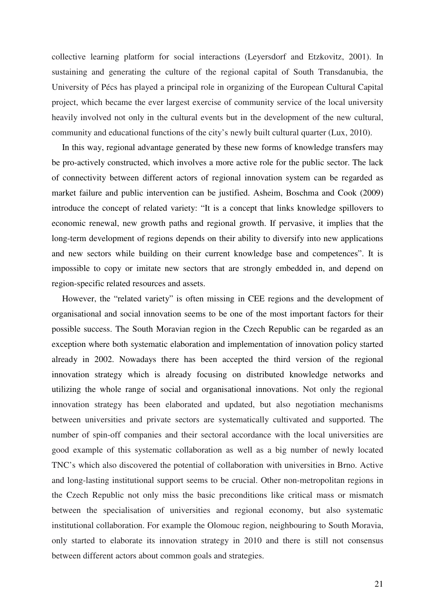collective learning platform for social interactions (Leyersdorf and Etzkovitz, 2001). In sustaining and generating the culture of the regional capital of South Transdanubia, the University of Pécs has played a principal role in organizing of the European Cultural Capital project, which became the ever largest exercise of community service of the local university heavily involved not only in the cultural events but in the development of the new cultural, community and educational functions of the city's newly built cultural quarter (Lux, 2010).

In this way, regional advantage generated by these new forms of knowledge transfers may be pro-actively constructed, which involves a more active role for the public sector. The lack of connectivity between different actors of regional innovation system can be regarded as market failure and public intervention can be justified. Asheim, Boschma and Cook (2009) introduce the concept of related variety: "It is a concept that links knowledge spillovers to economic renewal, new growth paths and regional growth. If pervasive, it implies that the long-term development of regions depends on their ability to diversify into new applications and new sectors while building on their current knowledge base and competences". It is impossible to copy or imitate new sectors that are strongly embedded in, and depend on region-specific related resources and assets.

However, the "related variety" is often missing in CEE regions and the development of organisational and social innovation seems to be one of the most important factors for their possible success. The South Moravian region in the Czech Republic can be regarded as an exception where both systematic elaboration and implementation of innovation policy started already in 2002. Nowadays there has been accepted the third version of the regional innovation strategy which is already focusing on distributed knowledge networks and utilizing the whole range of social and organisational innovations. Not only the regional innovation strategy has been elaborated and updated, but also negotiation mechanisms between universities and private sectors are systematically cultivated and supported. The number of spin-off companies and their sectoral accordance with the local universities are good example of this systematic collaboration as well as a big number of newly located TNC's which also discovered the potential of collaboration with universities in Brno. Active and long-lasting institutional support seems to be crucial. Other non-metropolitan regions in the Czech Republic not only miss the basic preconditions like critical mass or mismatch between the specialisation of universities and regional economy, but also systematic institutional collaboration. For example the Olomouc region, neighbouring to South Moravia, only started to elaborate its innovation strategy in 2010 and there is still not consensus between different actors about common goals and strategies.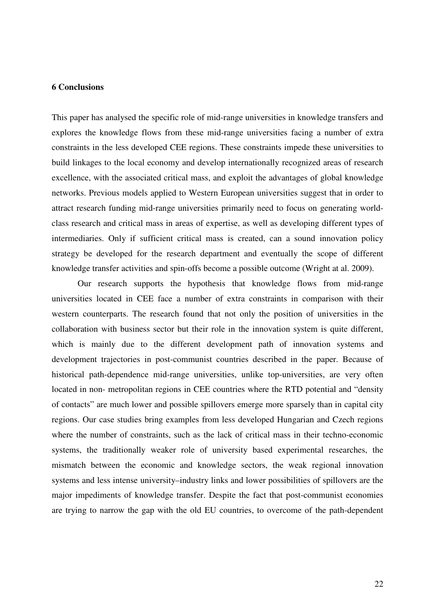# **6 Conclusions**

This paper has analysed the specific role of mid-range universities in knowledge transfers and explores the knowledge flows from these mid-range universities facing a number of extra constraints in the less developed CEE regions. These constraints impede these universities to build linkages to the local economy and develop internationally recognized areas of research excellence, with the associated critical mass, and exploit the advantages of global knowledge networks. Previous models applied to Western European universities suggest that in order to attract research funding mid-range universities primarily need to focus on generating worldclass research and critical mass in areas of expertise, as well as developing different types of intermediaries. Only if sufficient critical mass is created, can a sound innovation policy strategy be developed for the research department and eventually the scope of different knowledge transfer activities and spin-offs become a possible outcome (Wright at al. 2009).

Our research supports the hypothesis that knowledge flows from mid-range universities located in CEE face a number of extra constraints in comparison with their western counterparts. The research found that not only the position of universities in the collaboration with business sector but their role in the innovation system is quite different, which is mainly due to the different development path of innovation systems and development trajectories in post-communist countries described in the paper. Because of historical path-dependence mid-range universities, unlike top-universities, are very often located in non- metropolitan regions in CEE countries where the RTD potential and "density of contacts" are much lower and possible spillovers emerge more sparsely than in capital city regions. Our case studies bring examples from less developed Hungarian and Czech regions where the number of constraints, such as the lack of critical mass in their techno-economic systems, the traditionally weaker role of university based experimental researches, the mismatch between the economic and knowledge sectors, the weak regional innovation systems and less intense university–industry links and lower possibilities of spillovers are the major impediments of knowledge transfer. Despite the fact that post-communist economies are trying to narrow the gap with the old EU countries, to overcome of the path-dependent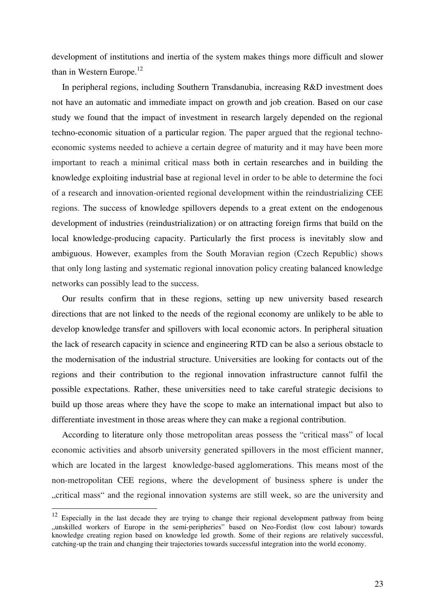development of institutions and inertia of the system makes things more difficult and slower than in Western Europe. $^{12}$ 

In peripheral regions, including Southern Transdanubia, increasing R&D investment does not have an automatic and immediate impact on growth and job creation. Based on our case study we found that the impact of investment in research largely depended on the regional techno-economic situation of a particular region. The paper argued that the regional technoeconomic systems needed to achieve a certain degree of maturity and it may have been more important to reach a minimal critical mass both in certain researches and in building the knowledge exploiting industrial base at regional level in order to be able to determine the foci of a research and innovation-oriented regional development within the reindustrializing CEE regions. The success of knowledge spillovers depends to a great extent on the endogenous development of industries (reindustrialization) or on attracting foreign firms that build on the local knowledge-producing capacity. Particularly the first process is inevitably slow and ambiguous. However, examples from the South Moravian region (Czech Republic) shows that only long lasting and systematic regional innovation policy creating balanced knowledge networks can possibly lead to the success.

Our results confirm that in these regions, setting up new university based research directions that are not linked to the needs of the regional economy are unlikely to be able to develop knowledge transfer and spillovers with local economic actors. In peripheral situation the lack of research capacity in science and engineering RTD can be also a serious obstacle to the modernisation of the industrial structure. Universities are looking for contacts out of the regions and their contribution to the regional innovation infrastructure cannot fulfil the possible expectations. Rather, these universities need to take careful strategic decisions to build up those areas where they have the scope to make an international impact but also to differentiate investment in those areas where they can make a regional contribution.

According to literature only those metropolitan areas possess the "critical mass" of local economic activities and absorb university generated spillovers in the most efficient manner, which are located in the largest knowledge-based agglomerations. This means most of the non-metropolitan CEE regions, where the development of business sphere is under the "critical mass" and the regional innovation systems are still week, so are the university and

 $12$  Especially in the last decade they are trying to change their regional development pathway from being "unskilled workers of Europe in the semi-peripheries" based on Neo-Fordist (low cost labour) towards knowledge creating region based on knowledge led growth. Some of their regions are relatively successful, catching-up the train and changing their trajectories towards successful integration into the world economy.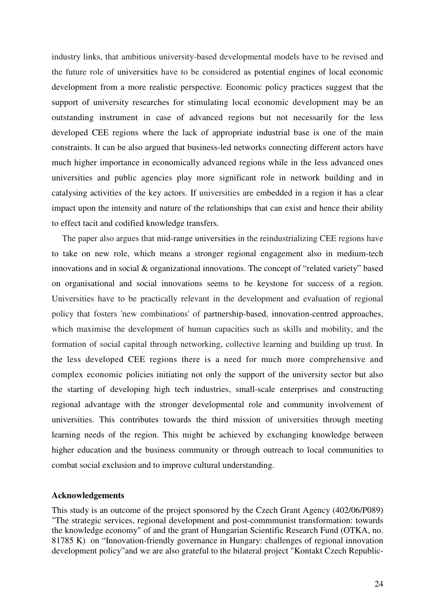industry links, that ambitious university-based developmental models have to be revised and the future role of universities have to be considered as potential engines of local economic development from a more realistic perspective. Economic policy practices suggest that the support of university researches for stimulating local economic development may be an outstanding instrument in case of advanced regions but not necessarily for the less developed CEE regions where the lack of appropriate industrial base is one of the main constraints. It can be also argued that business-led networks connecting different actors have much higher importance in economically advanced regions while in the less advanced ones universities and public agencies play more significant role in network building and in catalysing activities of the key actors. If universities are embedded in a region it has a clear impact upon the intensity and nature of the relationships that can exist and hence their ability to effect tacit and codified knowledge transfers.

The paper also argues that mid-range universities in the reindustrializing CEE regions have to take on new role, which means a stronger regional engagement also in medium-tech innovations and in social & organizational innovations. The concept of "related variety" based on organisational and social innovations seems to be keystone for success of a region. Universities have to be practically relevant in the development and evaluation of regional policy that fosters 'new combinations' of partnership-based, innovation-centred approaches, which maximise the development of human capacities such as skills and mobility, and the formation of social capital through networking, collective learning and building up trust. In the less developed CEE regions there is a need for much more comprehensive and complex economic policies initiating not only the support of the university sector but also the starting of developing high tech industries, small-scale enterprises and constructing regional advantage with the stronger developmental role and community involvement of universities. This contributes towards the third mission of universities through meeting learning needs of the region. This might be achieved by exchanging knowledge between higher education and the business community or through outreach to local communities to combat social exclusion and to improve cultural understanding.

#### **Acknowledgements**

This study is an outcome of the project sponsored by the Czech Grant Agency (402/06/P089) "The strategic services, regional development and post-commmunist transformation: towards the knowledge economy" of and the grant of Hungarian Scientific Research Fund (OTKA, no. 81785 K) on "Innovation-friendly governance in Hungary: challenges of regional innovation development policy"and we are also grateful to the bilateral project "Kontakt Czech Republic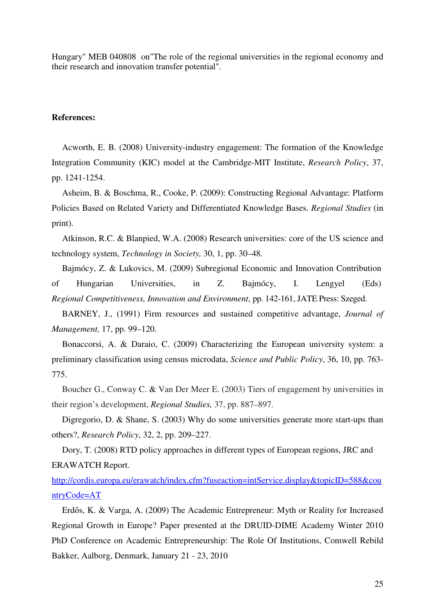Hungary" MEB 040808 on"The role of the regional universities in the regional economy and their research and innovation transfer potential".

# **References:**

Acworth, E. B. (2008) University-industry engagement: The formation of the Knowledge Integration Community (KIC) model at the Cambridge-MIT Institute, *Research Policy*, 37, pp. 1241-1254.

Asheim, B. & Boschma, R., Cooke, P. (2009): Constructing Regional Advantage: Platform Policies Based on Related Variety and Differentiated Knowledge Bases. *Regional Studies* (in print).

Atkinson, R.C. & Blanpied, W.A. (2008) Research universities: core of the US science and technology system, *Technology in Society,* 30, 1, pp. 30–48.

Bajmócy, Z. & Lukovics, M. (2009) Subregional Economic and Innovation Contribution of Hungarian Universities, in Z. Bajmócy, I. Lengyel (Eds) *Regional Competitiveness, Innovation and Environment*, pp. 142-161, JATE Press: Szeged.

BARNEY, J., (1991) Firm resources and sustained competitive advantage, *Journal of Management,* 17, pp. 99–120.

Bonaccorsi, A. & Daraio, C. (2009) Characterizing the European university system: a preliminary classification using census microdata, *Science and Public Policy*, 36, 10, pp. 763- 775.

Boucher G., Conway C. & Van Der Meer E. (2003) Tiers of engagement by universities in their region's development, *Regional Studies,* 37, pp. 887–897.

Digregorio, D. & Shane, S. (2003) Why do some universities generate more start-ups than others?, *Research Policy*, 32, 2, pp. 209–227.

Dory, T. (2008) RTD policy approaches in different types of European regions, JRC and ERAWATCH Report.

http://cordis.europa.eu/erawatch/index.cfm?fuseaction=intService.display&topicID=588&cou ntryCode=AT

Erdős, K. & Varga, A. (2009) The Academic Entrepreneur: Myth or Reality for Increased Regional Growth in Europe? Paper presented at the DRUID-DIME Academy Winter 2010 PhD Conference on Academic Entrepreneurship: The Role Of Institutions, Comwell Rebild Bakker, Aalborg, Denmark, January 21 - 23, 2010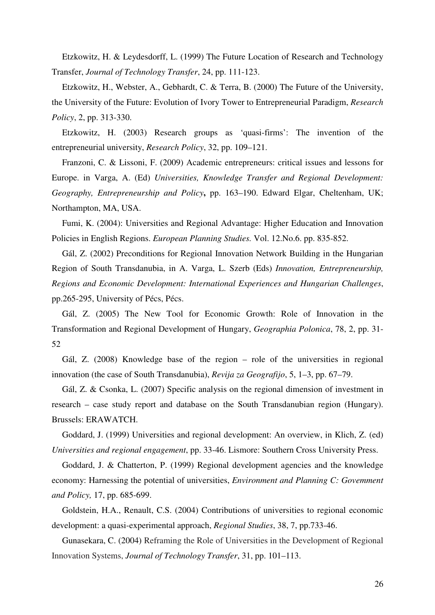Etzkowitz, H. & Leydesdorff, L. (1999) The Future Location of Research and Technology Transfer, *Journal of Technology Transfer*, 24, pp. 111-123.

Etzkowitz, H., Webster, A., Gebhardt, C. & Terra, B. (2000) The Future of the University, the University of the Future: Evolution of Ivory Tower to Entrepreneurial Paradigm, *Research Policy*, 2, pp. 313-330.

Etzkowitz, H. (2003) Research groups as 'quasi-firms': The invention of the entrepreneurial university, *Research Policy*, 32, pp. 109–121.

Franzoni, C. & Lissoni, F. (2009) Academic entrepreneurs: critical issues and lessons for Europe. in Varga, A. (Ed) *Universities, Knowledge Transfer and Regional Development: Geography, Entrepreneurship and Policy***,** pp. 163–190. Edward Elgar, Cheltenham, UK; Northampton, MA, USA.

Fumi, K. (2004): Universities and Regional Advantage: Higher Education and Innovation Policies in English Regions. *European Planning Studies.* Vol. 12.No.6. pp. 835-852.

Gál, Z. (2002) Preconditions for Regional Innovation Network Building in the Hungarian Region of South Transdanubia, in A. Varga, L. Szerb (Eds) *Innovation, Entrepreneurship, Regions and Economic Development: International Experiences and Hungarian Challenges*, pp.265-295, University of Pécs, Pécs.

Gál, Z. (2005) The New Tool for Economic Growth: Role of Innovation in the Transformation and Regional Development of Hungary, *Geographia Polonica*, 78, 2, pp. 31- 52

Gál, Z. (2008) Knowledge base of the region – role of the universities in regional innovation (the case of South Transdanubia), *Revija za Geografijo*, 5, 1–3, pp. 67–79.

Gál, Z. & Csonka, L. (2007) Specific analysis on the regional dimension of investment in research – case study report and database on the South Transdanubian region (Hungary). Brussels: ERAWATCH.

Goddard, J. (1999) Universities and regional development: An overview, in Klich, Z. (ed) *Universities and regional engagement*, pp. 33-46. Lismore: Southern Cross University Press.

Goddard, J. & Chatterton, P. (1999) Regional development agencies and the knowledge economy: Harnessing the potential of universities, *Environment and Planning C: Govemment and Policy,* 17, pp. 685-699.

Goldstein, H.A., Renault, C.S. (2004) Contributions of universities to regional economic development: a quasi-experimental approach, *Regional Studies*, 38, 7, pp.733-46.

Gunasekara, C. (2004) Reframing the Role of Universities in the Development of Regional Innovation Systems, *Journal of Technology Transfer*, 31, pp. 101–113.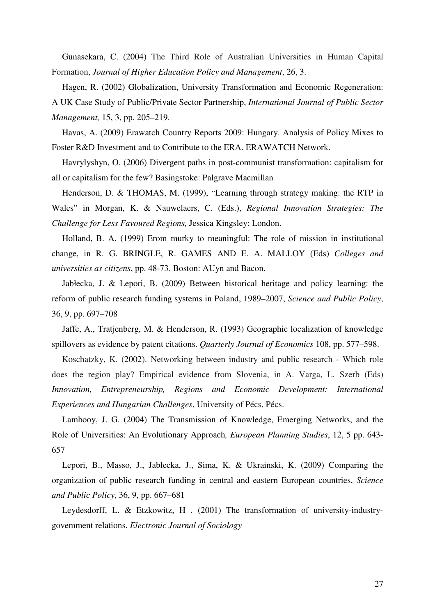Gunasekara, C. (2004) The Third Role of Australian Universities in Human Capital Formation, *Journal of Higher Education Policy and Management*, 26, 3.

Hagen, R. (2002) Globalization, University Transformation and Economic Regeneration: A UK Case Study of Public/Private Sector Partnership, *International Journal of Public Sector Management,* 15, 3, pp. 205–219.

Havas, A. (2009) Erawatch Country Reports 2009: Hungary. Analysis of Policy Mixes to Foster R&D Investment and to Contribute to the ERA. ERAWATCH Network.

Havrylyshyn, O. (2006) Divergent paths in post-communist transformation: capitalism for all or capitalism for the few? Basingstoke: Palgrave Macmillan

Henderson, D. & THOMAS, M. (1999), "Learning through strategy making: the RTP in Wales" in Morgan, K. & Nauwelaers, C. (Eds.), *Regional Innovation Strategies: The Challenge for Less Favoured Regions,* Jessica Kingsley: London.

Holland, B. A. (1999) Erom murky to meaningful: The role of mission in institutional change, in R. G. BRINGLE, R. GAMES AND E. A. MALLOY (Eds) *Colleges and universities as citizens*, pp. 48-73. Boston: AUyn and Bacon.

Jabłecka, J. & Lepori, B. (2009) Between historical heritage and policy learning: the reform of public research funding systems in Poland, 1989–2007, *Science and Public Policy*, 36, 9, pp. 697–708

Jaffe, A., Tratjenberg, M. & Henderson, R. (1993) Geographic localization of knowledge spillovers as evidence by patent citations. *Quarterly Journal of Economics* 108, pp. 577–598.

Koschatzky, K. (2002). Networking between industry and public research - Which role does the region play? Empirical evidence from Slovenia, in A. Varga, L. Szerb (Eds) *Innovation, Entrepreneurship, Regions and Economic Development: International Experiences and Hungarian Challenges*, University of Pécs, Pécs.

Lambooy, J. G. (2004) The Transmission of Knowledge, Emerging Networks, and the Role of Universities: An Evolutionary Approach*, European Planning Studies*, 12, 5 pp. 643- 657

Lepori, B., Masso, J., Jabłecka, J., Sima, K. & Ukrainski, K. (2009) Comparing the organization of public research funding in central and eastern European countries, *Science and Public Policy*, 36, 9, pp. 667–681

Leydesdorff, L. & Etzkowitz, H . (2001) The transformation of university-industrygovemment relations. *Electronic Journal of Sociology*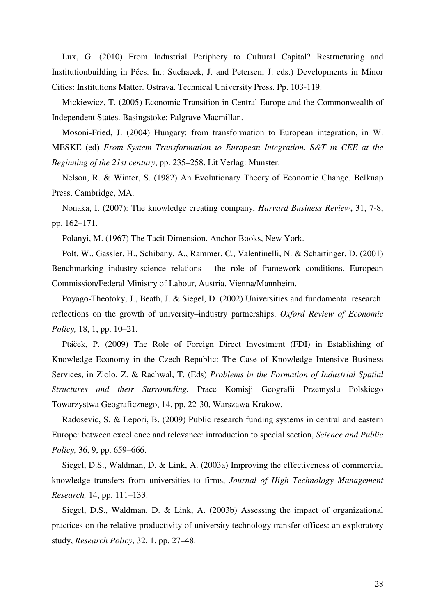Lux, G. (2010) From Industrial Periphery to Cultural Capital? Restructuring and Institutionbuilding in Pécs. In.: Suchacek, J. and Petersen, J. eds.) Developments in Minor Cities: Institutions Matter. Ostrava. Technical University Press. Pp. 103-119.

Mickiewicz, T. (2005) Economic Transition in Central Europe and the Commonwealth of Independent States. Basingstoke: Palgrave Macmillan.

Mosoni-Fried, J. (2004) Hungary: from transformation to European integration, in W. MESKE (ed) *From System Transformation to European Integration. S&T in CEE at the Beginning of the 21st century*, pp. 235–258. Lit Verlag: Munster.

Nelson, R. & Winter, S. (1982) An Evolutionary Theory of Economic Change. Belknap Press, Cambridge, MA.

Nonaka, I. (2007): The knowledge creating company, *Harvard Business Review***,** 31, 7-8, pp. 162–171.

Polanyi, M. (1967) The Tacit Dimension. Anchor Books, New York.

Polt, W., Gassler, H., Schibany, A., Rammer, C., Valentinelli, N. & Schartinger, D. (2001) Benchmarking industry-science relations - the role of framework conditions. European Commission/Federal Ministry of Labour, Austria, Vienna/Mannheim.

Poyago-Theotoky, J., Beath, J. & Siegel, D. (2002) Universities and fundamental research: reflections on the growth of university–industry partnerships. *Oxford Review of Economic Policy*, 18, 1, pp. 10–21.

Ptáček, P. (2009) The Role of Foreign Direct Investment (FDI) in Establishing of Knowledge Economy in the Czech Republic: The Case of Knowledge Intensive Business Services, in Ziolo, Z. & Rachwal, T. (Eds) *Problems in the Formation of Industrial Spatial Structures and their Surrounding.* Prace Komisji Geografii Przemyslu Polskiego Towarzystwa Geograficznego, 14, pp. 22-30, Warszawa-Krakow.

Radosevic, S. & Lepori, B. (2009) Public research funding systems in central and eastern Europe: between excellence and relevance: introduction to special section, *Science and Public Policy,* 36, 9, pp. 659–666.

Siegel, D.S., Waldman, D. & Link, A. (2003a) Improving the effectiveness of commercial knowledge transfers from universities to firms, *Journal of High Technology Management Research,* 14, pp. 111–133.

Siegel, D.S., Waldman, D. & Link, A. (2003b) Assessing the impact of organizational practices on the relative productivity of university technology transfer offices: an exploratory study, *Research Policy*, 32, 1, pp. 27–48.